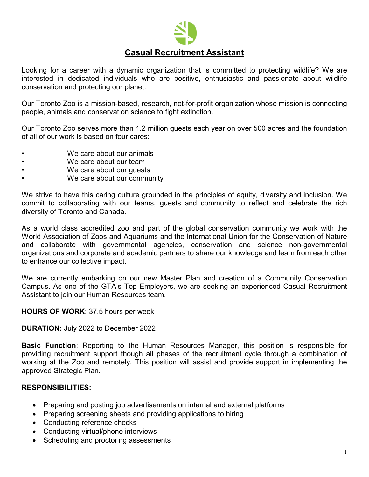

# **Casual Recruitment Assistant**

Looking for a career with a dynamic organization that is committed to protecting wildlife? We are interested in dedicated individuals who are positive, enthusiastic and passionate about wildlife conservation and protecting our planet.

Our Toronto Zoo is a mission-based, research, not-for-profit organization whose mission is connecting people, animals and conservation science to fight extinction.

Our Toronto Zoo serves more than 1.2 million guests each year on over 500 acres and the foundation of all of our work is based on four cares:

- We care about our animals
- We care about our team
- We care about our guests
- We care about our community

We strive to have this caring culture grounded in the principles of equity, diversity and inclusion. We commit to collaborating with our teams, guests and community to reflect and celebrate the rich diversity of Toronto and Canada.

As a world class accredited zoo and part of the global conservation community we work with the World Association of Zoos and Aquariums and the International Union for the Conservation of Nature and collaborate with governmental agencies, conservation and science non-governmental organizations and corporate and academic partners to share our knowledge and learn from each other to enhance our collective impact.

We are currently embarking on our new Master Plan and creation of a Community Conservation Campus. As one of the GTA's Top Employers, we are seeking an experienced Casual Recruitment Assistant to join our Human Resources team.

#### **HOURS OF WORK**: 37.5 hours per week

**DURATION:** July 2022 to December 2022

**Basic Function**: Reporting to the Human Resources Manager, this position is responsible for providing recruitment support though all phases of the recruitment cycle through a combination of working at the Zoo and remotely. This position will assist and provide support in implementing the approved Strategic Plan.

# **RESPONSIBILITIES:**

- Preparing and posting job advertisements on internal and external platforms
- Preparing screening sheets and providing applications to hiring
- Conducting reference checks
- Conducting virtual/phone interviews
- Scheduling and proctoring assessments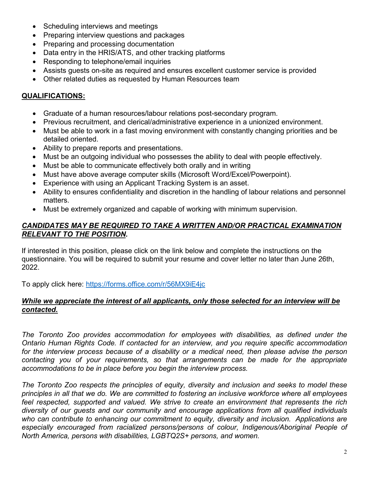- Scheduling interviews and meetings
- Preparing interview questions and packages
- Preparing and processing documentation
- Data entry in the HRIS/ATS, and other tracking platforms
- Responding to telephone/email inquiries
- Assists guests on-site as required and ensures excellent customer service is provided
- Other related duties as requested by Human Resources team

# **QUALIFICATIONS:**

- Graduate of a human resources/labour relations post-secondary program.
- Previous recruitment, and clerical/administrative experience in a unionized environment.
- Must be able to work in a fast moving environment with constantly changing priorities and be detailed oriented.
- Ability to prepare reports and presentations.
- Must be an outgoing individual who possesses the ability to deal with people effectively.
- Must be able to communicate effectively both orally and in writing
- Must have above average computer skills (Microsoft Word/Excel/Powerpoint).
- Experience with using an Applicant Tracking System is an asset.
- Ability to ensures confidentiality and discretion in the handling of labour relations and personnel matters.
- Must be extremely organized and capable of working with minimum supervision.

### *CANDIDATES MAY BE REQUIRED TO TAKE A WRITTEN AND/OR PRACTICAL EXAMINATION RELEVANT TO THE POSITION.*

If interested in this position, please click on the link below and complete the instructions on the questionnaire. You will be required to submit your resume and cover letter no later than June 26th, 2022.

To apply click here:<https://forms.office.com/r/56MX9iE4jc>

# *While we appreciate the interest of all applicants, only those selected for an interview will be contacted.*

*The Toronto Zoo provides accommodation for employees with disabilities, as defined under the Ontario Human Rights Code. If contacted for an interview, and you require specific accommodation*  for the interview process because of a disability or a medical need, then please advise the person *contacting you of your requirements, so that arrangements can be made for the appropriate accommodations to be in place before you begin the interview process.*

*The Toronto Zoo respects the principles of equity, diversity and inclusion and seeks to model these principles in all that we do. We are committed to fostering an inclusive workforce where all employees feel respected, supported and valued. We strive to create an environment that represents the rich diversity of our guests and our community and encourage applications from all qualified individuals who can contribute to enhancing our commitment to equity, diversity and inclusion. Applications are especially encouraged from racialized persons/persons of colour, Indigenous/Aboriginal People of North America, persons with disabilities, LGBTQ2S+ persons, and women.*